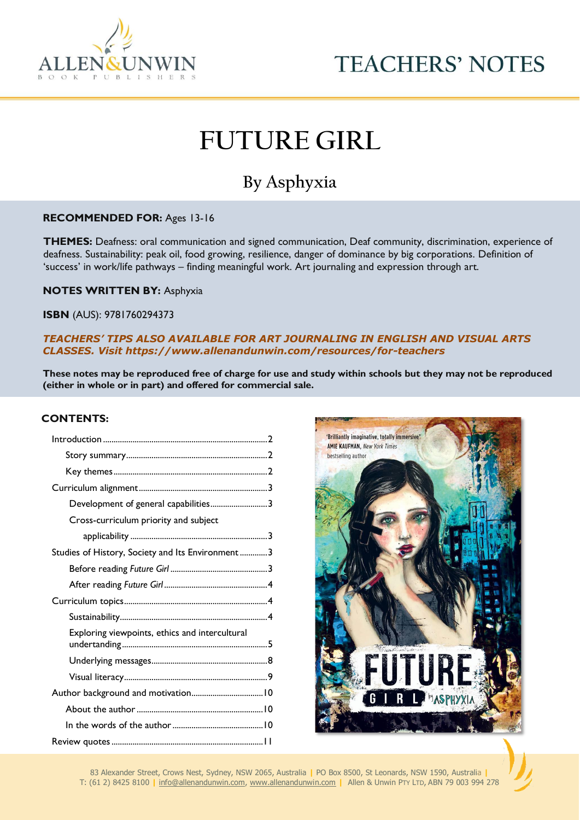



# **FUTURE GIRL**

# **By Asphyxia**

# **RECOMMENDED FOR:** Ages 13-16

 **THEMES:** Deafness: oral communication and signed communication, Deaf community, discrimination, experience of  'success' in work/life pathways – finding meaningful work. Art journaling and expression through art. deafness. Sustainability: peak oil, food growing, resilience, danger of dominance by big corporations. Definition of

 **NOTES WRITTEN BY:** Asphyxia

 **ISBN** (AUS): 9781760294373

 *TEACHERS' TIPS ALSO AVAILABLE FOR ART JOURNALING IN ENGLISH AND VISUAL ARTS CLASSES. Visit https://www.allenandunwin.com/resources/for-teachers*

**These notes may be reproduced free of charge for use and study within schools but they may not be reproduced (either in whole or in part) and offered for commercial sale.**

#### **CONTENTS:**

| Development of general capabilities3             |  |
|--------------------------------------------------|--|
| Cross-curriculum priority and subject            |  |
|                                                  |  |
| Studies of History, Society and Its Environment3 |  |
|                                                  |  |
|                                                  |  |
|                                                  |  |
|                                                  |  |
| Exploring viewpoints, ethics and intercultural   |  |
|                                                  |  |
|                                                  |  |
|                                                  |  |
|                                                  |  |
|                                                  |  |
|                                                  |  |



83 Alexander Street, Crows Nest, Sydney, NSW 2065, Australia **|** PO Box 8500, St Leonards, NSW 1590, Australia **|** T: (61 2) 8425 8100 **|** [info@allenandunwin.com,](mailto:info@allenandunwin.com) [www.allenandunwin.com](http://www.allenandunwin.com/) **|** Allen & Unwin PTY LTD, ABN 79 003 994 278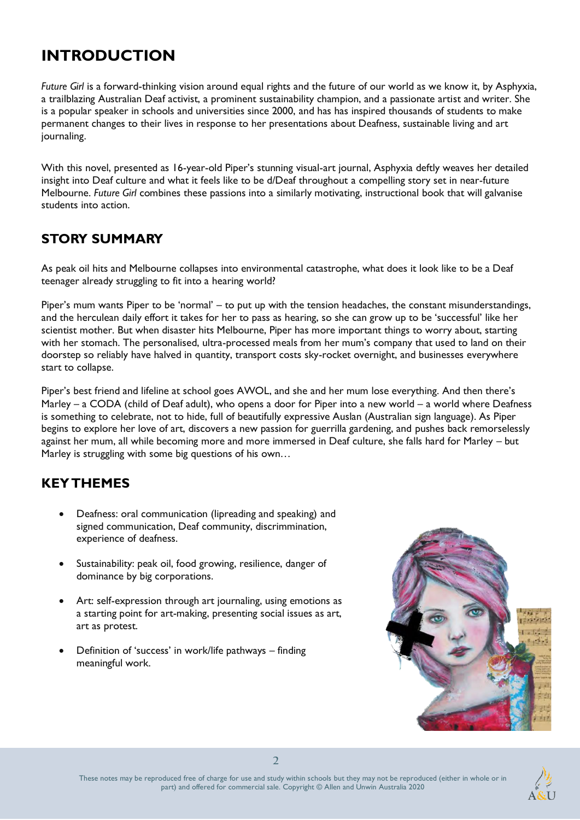# **INTRODUCTION**

*Future Girl* is a forward-thinking vision around equal rights and the future of our world as we know it, by Asphyxia, a trailblazing Australian Deaf activist, a prominent sustainability champion, and a passionate artist and writer. She is a popular speaker in schools and universities since 2000, and has has inspired thousands of students to make permanent changes to their lives in response to her presentations about Deafness, sustainable living and art journaling.

With this novel, presented as 16-year-old Piper's stunning visual-art journal, Asphyxia deftly weaves her detailed insight into Deaf culture and what it feels like to be d/Deaf throughout a compelling story set in near-future Melbourne. *Future Girl* combines these passions into a similarly motivating, instructional book that will galvanise students into action.

### **STORY SUMMARY**

As peak oil hits and Melbourne collapses into environmental catastrophe, what does it look like to be a Deaf teenager already struggling to fit into a hearing world?

Piper's mum wants Piper to be 'normal' – to put up with the tension headaches, the constant misunderstandings, and the herculean daily effort it takes for her to pass as hearing, so she can grow up to be 'successful' like her scientist mother. But when disaster hits Melbourne, Piper has more important things to worry about, starting with her stomach. The personalised, ultra-processed meals from her mum's company that used to land on their doorstep so reliably have halved in quantity, transport costs sky-rocket overnight, and businesses everywhere start to collapse.

Piper's best friend and lifeline at school goes AWOL, and she and her mum lose everything. And then there's Marley – a CODA (child of Deaf adult), who opens a door for Piper into a new world – a world where Deafness is something to celebrate, not to hide, full of beautifully expressive Auslan (Australian sign language). As Piper begins to explore her love of art, discovers a new passion for guerrilla gardening, and pushes back remorselessly against her mum, all while becoming more and more immersed in Deaf culture, she falls hard for Marley – but Marley is struggling with some big questions of his own…

### **KEY THEMES**

- Deafness: oral communication (lipreading and speaking) and signed communication, Deaf community, discrimmination, experience of deafness.
- Sustainability: peak oil, food growing, resilience, danger of dominance by big corporations.
- Art: self-expression through art journaling, using emotions as a starting point for art-making, presenting social issues as art, art as protest.
- Definition of 'success' in work/life pathways finding meaningful work.



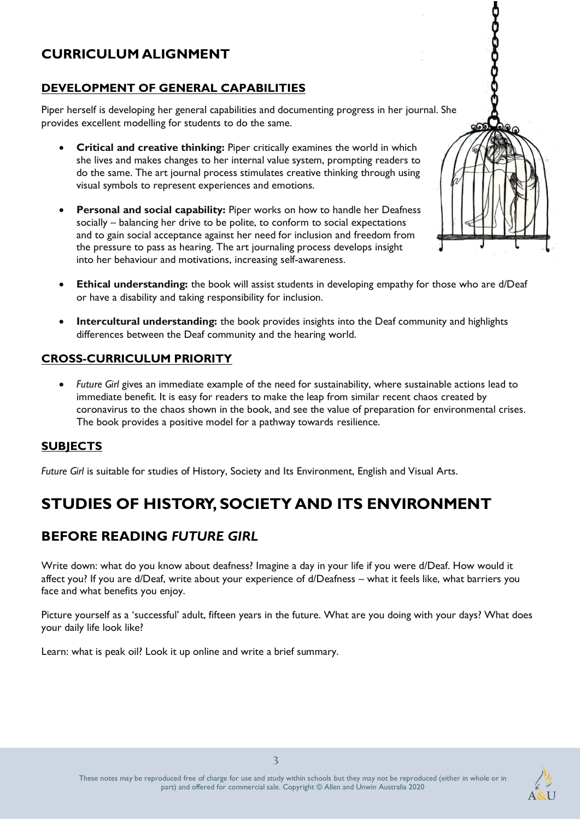### **CURRICULUM ALIGNMENT**

### **DEVELOPMENT OF GENERAL CAPABILITIES**

Piper herself is developing her general capabilities and documenting progress in her journal. She provides excellent modelling for students to do the same.

- **Critical and creative thinking:** Piper critically examines the world in which she lives and makes changes to her internal value system, prompting readers to do the same. The art journal process stimulates creative thinking through using visual symbols to represent experiences and emotions.
- **Personal and social capability:** Piper works on how to handle her Deafness socially – balancing her drive to be polite, to conform to social expectations and to gain social acceptance against her need for inclusion and freedom from the pressure to pass as hearing. The art journaling process develops insight into her behaviour and motivations, increasing self-awareness.
- **Ethical understanding:** the book will assist students in developing empathy for those who are d/Deaf or have a disability and taking responsibility for inclusion.
- **Intercultural understanding:** the book provides insights into the Deaf community and highlights differences between the Deaf community and the hearing world.

### **CROSS-CURRICULUM PRIORITY**

• *Future Girl* gives an immediate example of the need for sustainability, where sustainable actions lead to immediate benefit. It is easy for readers to make the leap from similar recent chaos created by coronavirus to the chaos shown in the book, and see the value of preparation for environmental crises. The book provides a positive model for a pathway towards resilience.

### **SUBJECTS**

*Future Girl* is suitable for studies of History, Society and Its Environment, English and Visual Arts.

# **STUDIES OF HISTORY, SOCIETY AND ITS ENVIRONMENT**

### **BEFORE READING** *FUTURE GIRL*

Write down: what do you know about deafness? Imagine a day in your life if you were d/Deaf. How would it affect you? If you are d/Deaf, write about your experience of d/Deafness – what it feels like, what barriers you face and what benefits you enjoy.

Picture yourself as a 'successful' adult, fifteen years in the future. What are you doing with your days? What does your daily life look like?

Learn: what is peak oil? Look it up online and write a brief summary.



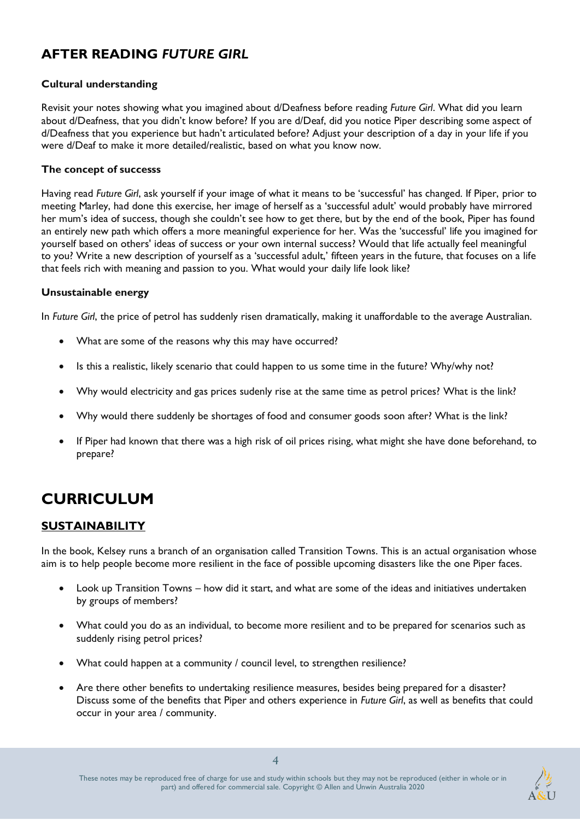### **AFTER READING** *FUTURE GIRL*

### **Cultural understanding**

Revisit your notes showing what you imagined about d/Deafness before reading *Future Girl*. What did you learn about d/Deafness, that you didn't know before? If you are d/Deaf, did you notice Piper describing some aspect of d/Deafness that you experience but hadn't articulated before? Adjust your description of a day in your life if you were d/Deaf to make it more detailed/realistic, based on what you know now.

#### **The concept of successs**

Having read *Future Girl*, ask yourself if your image of what it means to be 'successful' has changed. If Piper, prior to meeting Marley, had done this exercise, her image of herself as a 'successful adult' would probably have mirrored her mum's idea of success, though she couldn't see how to get there, but by the end of the book, Piper has found an entirely new path which offers a more meaningful experience for her. Was the 'successful' life you imagined for yourself based on others' ideas of success or your own internal success? Would that life actually feel meaningful to you? Write a new description of yourself as a 'successful adult,' fifteen years in the future, that focuses on a life that feels rich with meaning and passion to you. What would your daily life look like?

#### **Unsustainable energy**

In *Future Girl*, the price of petrol has suddenly risen dramatically, making it unaffordable to the average Australian.

- What are some of the reasons why this may have occurred?
- Is this a realistic, likely scenario that could happen to us some time in the future? Why/why not?
- Why would electricity and gas prices sudenly rise at the same time as petrol prices? What is the link?
- Why would there suddenly be shortages of food and consumer goods soon after? What is the link?
- If Piper had known that there was a high risk of oil prices rising, what might she have done beforehand, to prepare?

# **CURRICULUM**

### **SUSTAINABILITY**

In the book, Kelsey runs a branch of an organisation called Transition Towns. This is an actual organisation whose aim is to help people become more resilient in the face of possible upcoming disasters like the one Piper faces.

- Look up Transition Towns how did it start, and what are some of the ideas and initiatives undertaken by groups of members?
- What could you do as an individual, to become more resilient and to be prepared for scenarios such as suddenly rising petrol prices?
- What could happen at a community / council level, to strengthen resilience?
- Are there other benefits to undertaking resilience measures, besides being prepared for a disaster? Discuss some of the benefits that Piper and others experience in *Future Girl*, as well as benefits that could occur in your area / community.

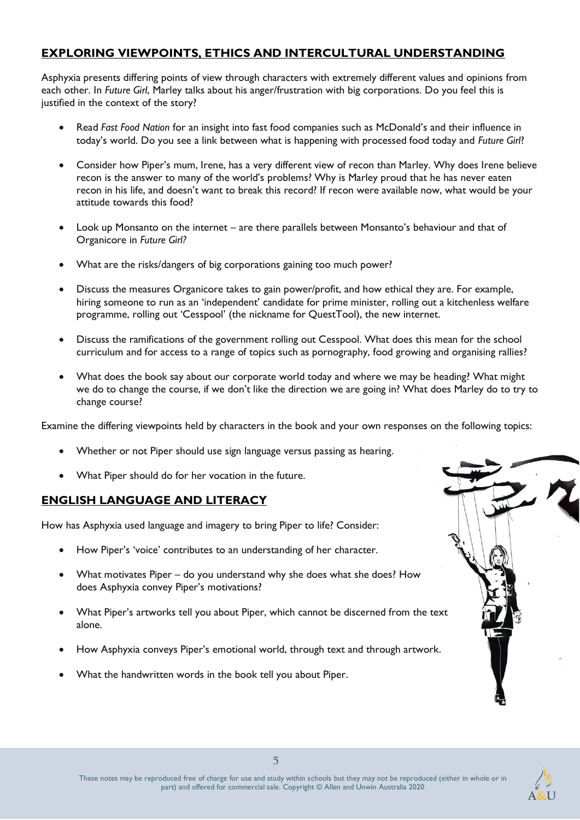### **EXPLORING VIEWPOINTS, ETHICS AND INTERCULTURAL UNDERSTANDING**

Asphyxia presents differing points of view through characters with extremely different values and opinions from each other. In *Future Girl*, Marley talks about his anger/frustration with big corporations. Do you feel this is justified in the context of the story?

- Read *Fast Food Nation* for an insight into fast food companies such as McDonald's and their influence in today's world. Do you see a link between what is happening with processed food today and *Future Girl*?
- Consider how Piper's mum, Irene, has a very different view of recon than Marley. Why does Irene believe recon is the answer to many of the world's problems? Why is Marley proud that he has never eaten recon in his life, and doesn't want to break this record? If recon were available now, what would be your attitude towards this food?
- Look up Monsanto on the internet are there parallels between Monsanto's behaviour and that of Organicore in *Future Girl?*
- What are the risks/dangers of big corporations gaining too much power?
- Discuss the measures Organicore takes to gain power/profit, and how ethical they are. For example, hiring someone to run as an 'independent' candidate for prime minister, rolling out a kitchenless welfare programme, rolling out 'Cesspool' (the nickname for QuestTool), the new internet.
- Discuss the ramifications of the government rolling out Cesspool. What does this mean for the school curriculum and for access to a range of topics such as pornography, food growing and organising rallies?
- What does the book say about our corporate world today and where we may be heading? What might we do to change the course, if we don't like the direction we are going in? What does Marley do to try to change course?

Examine the differing viewpoints held by characters in the book and your own responses on the following topics:

- Whether or not Piper should use sign language versus passing as hearing.
- What Piper should do for her vocation in the future.

### **ENGLISH LANGUAGE AND LITERACY**

How has Asphyxia used language and imagery to bring Piper to life? Consider:

- How Piper's 'voice' contributes to an understanding of her character.
- What motivates Piper do you understand why she does what she does? How does Asphyxia convey Piper's motivations?
- What Piper's artworks tell you about Piper, which cannot be discerned from the text alone.
- How Asphyxia conveys Piper's emotional world, through text and through artwork.
- What the handwritten words in the book tell you about Piper.



**5**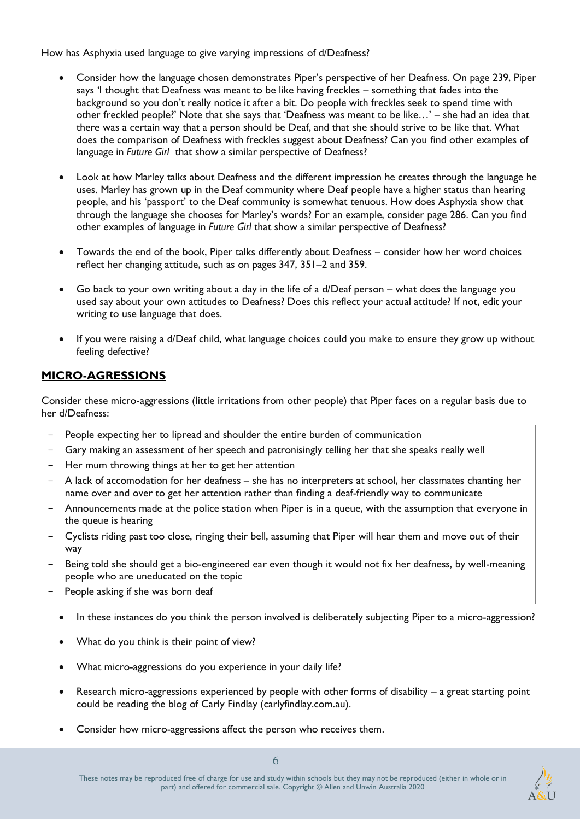How has Asphyxia used language to give varying impressions of d/Deafness?

- Consider how the language chosen demonstrates Piper's perspective of her Deafness. On page 239, Piper says 'I thought that Deafness was meant to be like having freckles – something that fades into the background so you don't really notice it after a bit. Do people with freckles seek to spend time with other freckled people?' Note that she says that 'Deafness was meant to be like…' – she had an idea that there was a certain way that a person should be Deaf, and that she should strive to be like that. What does the comparison of Deafness with freckles suggest about Deafness? Can you find other examples of language in *Future Girl* that show a similar perspective of Deafness?
- Look at how Marley talks about Deafness and the different impression he creates through the language he uses. Marley has grown up in the Deaf community where Deaf people have a higher status than hearing people, and his 'passport' to the Deaf community is somewhat tenuous. How does Asphyxia show that through the language she chooses for Marley's words? For an example, consider page 286. Can you find other examples of language in *Future Girl* that show a similar perspective of Deafness?
- Towards the end of the book, Piper talks differently about Deafness consider how her word choices reflect her changing attitude, such as on pages 347, 351–2 and 359.
- Go back to your own writing about a day in the life of a d/Deaf person what does the language you used say about your own attitudes to Deafness? Does this reflect your actual attitude? If not, edit your writing to use language that does.
- If you were raising a d/Deaf child, what language choices could you make to ensure they grow up without feeling defective?

### **MICRO-AGRESSIONS**

Consider these micro-aggressions (little irritations from other people) that Piper faces on a regular basis due to her d/Deafness:

- People expecting her to lipread and shoulder the entire burden of communication
- Gary making an assessment of her speech and patronisingly telling her that she speaks really well
- Her mum throwing things at her to get her attention
- A lack of accomodation for her deafness she has no interpreters at school, her classmates chanting her name over and over to get her attention rather than finding a deaf-friendly way to communicate
- Announcements made at the police station when Piper is in a queue, with the assumption that everyone in the queue is hearing
- Cyclists riding past too close, ringing their bell, assuming that Piper will hear them and move out of their way
- Being told she should get a bio-engineered ear even though it would not fix her deafness, by well-meaning people who are uneducated on the topic
- People asking if she was born deaf
	- In these instances do you think the person involved is deliberately subjecting Piper to a micro-aggression?
	- What do you think is their point of view?
	- What micro-aggressions do you experience in your daily life?
	- Research micro-aggressions experienced by people with other forms of disability a great starting point could be reading the blog of Carly Findlay (carlyfindlay.com.au).
	- Consider how micro-aggressions affect the person who receives them.

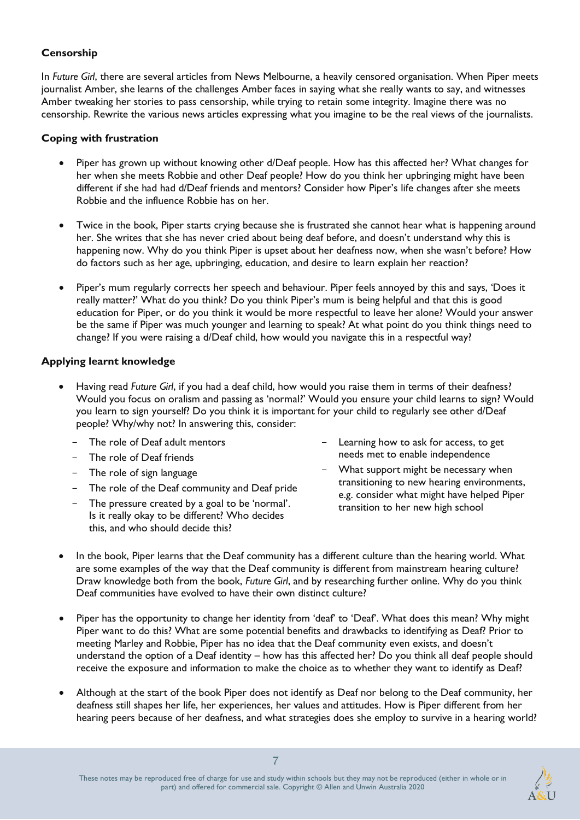### **Censorship**

In *Future Girl*, there are several articles from News Melbourne, a heavily censored organisation. When Piper meets journalist Amber, she learns of the challenges Amber faces in saying what she really wants to say, and witnesses Amber tweaking her stories to pass censorship, while trying to retain some integrity. Imagine there was no censorship. Rewrite the various news articles expressing what you imagine to be the real views of the journalists.

### **Coping with frustration**

- Piper has grown up without knowing other d/Deaf people. How has this affected her? What changes for her when she meets Robbie and other Deaf people? How do you think her upbringing might have been different if she had had d/Deaf friends and mentors? Consider how Piper's life changes after she meets Robbie and the influence Robbie has on her.
- Twice in the book, Piper starts crying because she is frustrated she cannot hear what is happening around her. She writes that she has never cried about being deaf before, and doesn't understand why this is happening now. Why do you think Piper is upset about her deafness now, when she wasn't before? How do factors such as her age, upbringing, education, and desire to learn explain her reaction?
- Piper's mum regularly corrects her speech and behaviour. Piper feels annoyed by this and says, 'Does it really matter?' What do you think? Do you think Piper's mum is being helpful and that this is good education for Piper, or do you think it would be more respectful to leave her alone? Would your answer be the same if Piper was much younger and learning to speak? At what point do you think things need to change? If you were raising a d/Deaf child, how would you navigate this in a respectful way?

### **Applying learnt knowledge**

- Having read *Future Girl*, if you had a deaf child, how would you raise them in terms of their deafness? Would you focus on oralism and passing as 'normal?' Would you ensure your child learns to sign? Would you learn to sign yourself? Do you think it is important for your child to regularly see other d/Deaf people? Why/why not? In answering this, consider:
	- The role of Deaf adult mentors
	- The role of Deaf friends
	- The role of sign language
	- The role of the Deaf community and Deaf pride
	- The pressure created by a goal to be 'normal'. Is it really okay to be different? Who decides this, and who should decide this?
- Learning how to ask for access, to get needs met to enable independence
- What support might be necessary when transitioning to new hearing environments, e.g. consider what might have helped Piper transition to her new high school
- In the book, Piper learns that the Deaf community has a different culture than the hearing world. What are some examples of the way that the Deaf community is different from mainstream hearing culture? Draw knowledge both from the book, *Future Girl*, and by researching further online. Why do you think Deaf communities have evolved to have their own distinct culture?
- Piper has the opportunity to change her identity from 'deaf' to 'Deaf'. What does this mean? Why might Piper want to do this? What are some potential benefits and drawbacks to identifying as Deaf? Prior to meeting Marley and Robbie, Piper has no idea that the Deaf community even exists, and doesn't understand the option of a Deaf identity – how has this affected her? Do you think all deaf people should receive the exposure and information to make the choice as to whether they want to identify as Deaf?
- Although at the start of the book Piper does not identify as Deaf nor belong to the Deaf community, her deafness still shapes her life, her experiences, her values and attitudes. How is Piper different from her hearing peers because of her deafness, and what strategies does she employ to survive in a hearing world?

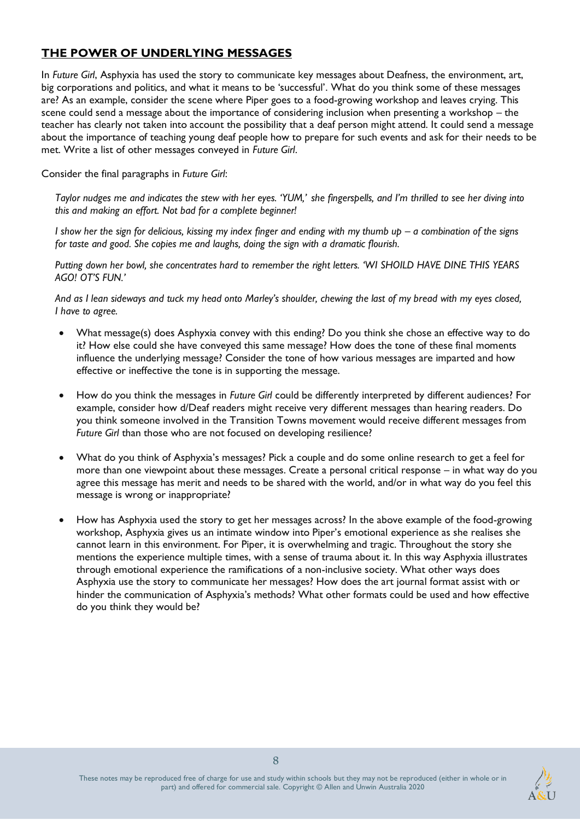### **THE POWER OF UNDERLYING MESSAGES**

In *Future Girl*, Asphyxia has used the story to communicate key messages about Deafness, the environment, art, big corporations and politics, and what it means to be 'successful'. What do you think some of these messages are? As an example, consider the scene where Piper goes to a food-growing workshop and leaves crying. This scene could send a message about the importance of considering inclusion when presenting a workshop – the teacher has clearly not taken into account the possibility that a deaf person might attend. It could send a message about the importance of teaching young deaf people how to prepare for such events and ask for their needs to be met. Write a list of other messages conveyed in *Future Girl*.

Consider the final paragraphs in *Future Girl*:

*Taylor nudges me and indicates the stew with her eyes. 'YUM,' she fingerspells, and I'm thrilled to see her diving into this and making an effort. Not bad for a complete beginner!* 

*I* show her the sign for delicious, kissing my index finger and ending with my thumb up – a combination of the signs *for taste and good. She copies me and laughs, doing the sign with a dramatic flourish.* 

*Putting down her bowl, she concentrates hard to remember the right letters. 'WI SHOILD HAVE DINE THIS YEARS AGO! OT'S FUN.'*

*And as I lean sideways and tuck my head onto Marley's shoulder, chewing the last of my bread with my eyes closed, I have to agree.* 

- What message(s) does Asphyxia convey with this ending? Do you think she chose an effective way to do it? How else could she have conveyed this same message? How does the tone of these final moments influence the underlying message? Consider the tone of how various messages are imparted and how effective or ineffective the tone is in supporting the message.
- How do you think the messages in *Future Girl* could be differently interpreted by different audiences? For example, consider how d/Deaf readers might receive very different messages than hearing readers. Do you think someone involved in the Transition Towns movement would receive different messages from *Future Girl* than those who are not focused on developing resilience?
- What do you think of Asphyxia's messages? Pick a couple and do some online research to get a feel for more than one viewpoint about these messages. Create a personal critical response – in what way do you agree this message has merit and needs to be shared with the world, and/or in what way do you feel this message is wrong or inappropriate?
- How has Asphyxia used the story to get her messages across? In the above example of the food-growing workshop, Asphyxia gives us an intimate window into Piper's emotional experience as she realises she cannot learn in this environment. For Piper, it is overwhelming and tragic. Throughout the story she mentions the experience multiple times, with a sense of trauma about it. In this way Asphyxia illustrates through emotional experience the ramifications of a non-inclusive society. What other ways does Asphyxia use the story to communicate her messages? How does the art journal format assist with or hinder the communication of Asphyxia's methods? What other formats could be used and how effective do you think they would be?

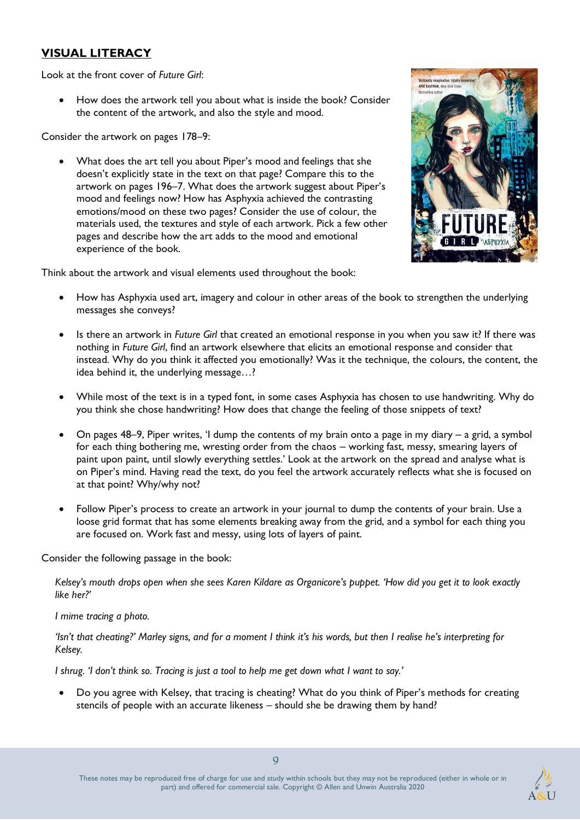### **VISUAL LITERACY**

Look at the front cover of *Future Girl*:

• How does the artwork tell you about what is inside the book? Consider the content of the artwork, and also the style and mood.

Consider the artwork on pages 178–9:

• What does the art tell you about Piper's mood and feelings that she doesn't explicitly state in the text on that page? Compare this to the artwork on pages 196–7. What does the artwork suggest about Piper's mood and feelings now? How has Asphyxia achieved the contrasting emotions/mood on these two pages? Consider the use of colour, the materials used, the textures and style of each artwork. Pick a few other pages and describe how the art adds to the mood and emotional experience of the book.

Think about the artwork and visual elements used throughout the book:

- How has Asphyxia used art, imagery and colour in other areas of the book to strengthen the underlying messages she conveys?
- Is there an artwork in *Future Girl* that created an emotional response in you when you saw it? If there was nothing in *Future Girl*, find an artwork elsewhere that elicits an emotional response and consider that instead. Why do you think it affected you emotionally? Was it the technique, the colours, the content, the idea behind it, the underlying message…?
- While most of the text is in a typed font, in some cases Asphyxia has chosen to use handwriting. Why do you think she chose handwriting? How does that change the feeling of those snippets of text?
- On pages  $48-9$ , Piper writes, 'I dump the contents of my brain onto a page in my diary a grid, a symbol for each thing bothering me, wresting order from the chaos – working fast, messy, smearing layers of paint upon paint, until slowly everything settles.' Look at the artwork on the spread and analyse what is on Piper's mind. Having read the text, do you feel the artwork accurately reflects what she is focused on at that point? Why/why not?
- Follow Piper's process to create an artwork in your journal to dump the contents of your brain. Use a loose grid format that has some elements breaking away from the grid, and a symbol for each thing you are focused on. Work fast and messy, using lots of layers of paint.

Consider the following passage in the book:

*Kelsey's mouth drops open when she sees Karen Kildare as Organicore's puppet. 'How did you get it to look exactly like her?'* 

*I mime tracing a photo.*

*'Isn't that cheating?' Marley signs, and for a moment I think it's his words, but then I realise he's interpreting for Kelsey.*

*I shrug. 'I don't think so. Tracing is just a tool to help me get down what I want to say.'*

• Do you agree with Kelsey, that tracing is cheating? What do you think of Piper's methods for creating stencils of people with an accurate likeness – should she be drawing them by hand?



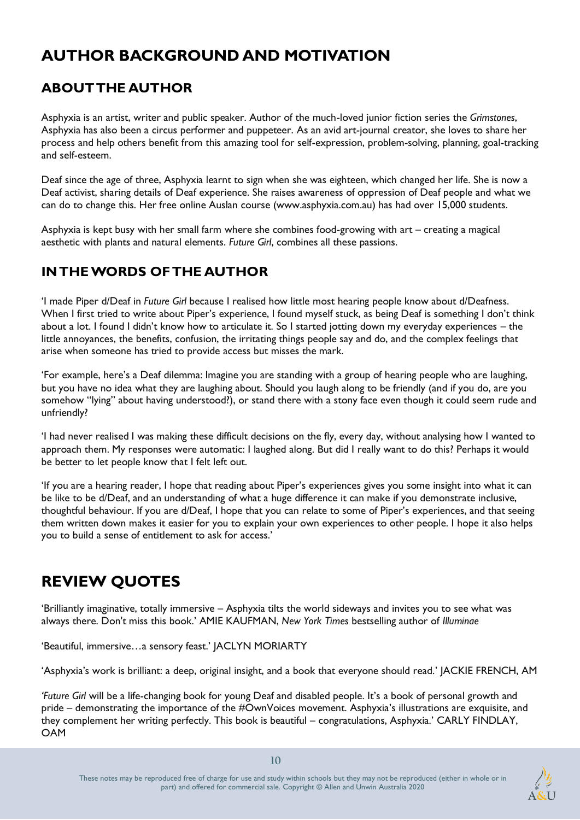# **AUTHOR BACKGROUND AND MOTIVATION**

### **ABOUT THE AUTHOR**

Asphyxia is an artist, writer and public speaker. Author of the much-loved junior fiction series the *Grimstones*, Asphyxia has also been a circus performer and puppeteer. As an avid art-journal creator, she loves to share her process and help others benefit from this amazing tool for self-expression, problem-solving, planning, goal-tracking and self-esteem.

Deaf since the age of three, Asphyxia learnt to sign when she was eighteen, which changed her life. She is now a Deaf activist, sharing details of Deaf experience. She raises awareness of oppression of Deaf people and what we can do to change this. Her free online Auslan course (www.asphyxia.com.au) has had over 15,000 students.

Asphyxia is kept busy with her small farm where she combines food-growing with art – creating a magical aesthetic with plants and natural elements. *Future Girl*, combines all these passions.

# **IN THE WORDS OF THE AUTHOR**

'I made Piper d/Deaf in *Future Girl* because I realised how little most hearing people know about d/Deafness. When I first tried to write about Piper's experience, I found myself stuck, as being Deaf is something I don't think about a lot. I found I didn't know how to articulate it. So I started jotting down my everyday experiences – the little annoyances, the benefits, confusion, the irritating things people say and do, and the complex feelings that arise when someone has tried to provide access but misses the mark.

'For example, here's a Deaf dilemma: Imagine you are standing with a group of hearing people who are laughing, but you have no idea what they are laughing about. Should you laugh along to be friendly (and if you do, are you somehow "lying" about having understood?), or stand there with a stony face even though it could seem rude and unfriendly?

'I had never realised I was making these difficult decisions on the fly, every day, without analysing how I wanted to approach them. My responses were automatic: I laughed along. But did I really want to do this? Perhaps it would be better to let people know that I felt left out.

'If you are a hearing reader, I hope that reading about Piper's experiences gives you some insight into what it can be like to be d/Deaf, and an understanding of what a huge difference it can make if you demonstrate inclusive, thoughtful behaviour. If you are d/Deaf, I hope that you can relate to some of Piper's experiences, and that seeing them written down makes it easier for you to explain your own experiences to other people. I hope it also helps you to build a sense of entitlement to ask for access.'

# **REVIEW QUOTES**

'Brilliantly imaginative, totally immersive – Asphyxia tilts the world sideways and invites you to see what was always there. Don't miss this book.' AMIE KAUFMAN, *New York Times* bestselling author of *Illuminae*

'Beautiful, immersive…a sensory feast.' JACLYN MORIARTY

'Asphyxia's work is brilliant: a deep, original insight, and a book that everyone should read.' JACKIE FRENCH, AM

*'Future Girl* will be a life-changing book for young Deaf and disabled people. It's a book of personal growth and pride – demonstrating the importance of the #OwnVoices movement. Asphyxia's illustrations are exquisite, and they complement her writing perfectly. This book is beautiful – congratulations, Asphyxia.' CARLY FINDLAY, OAM